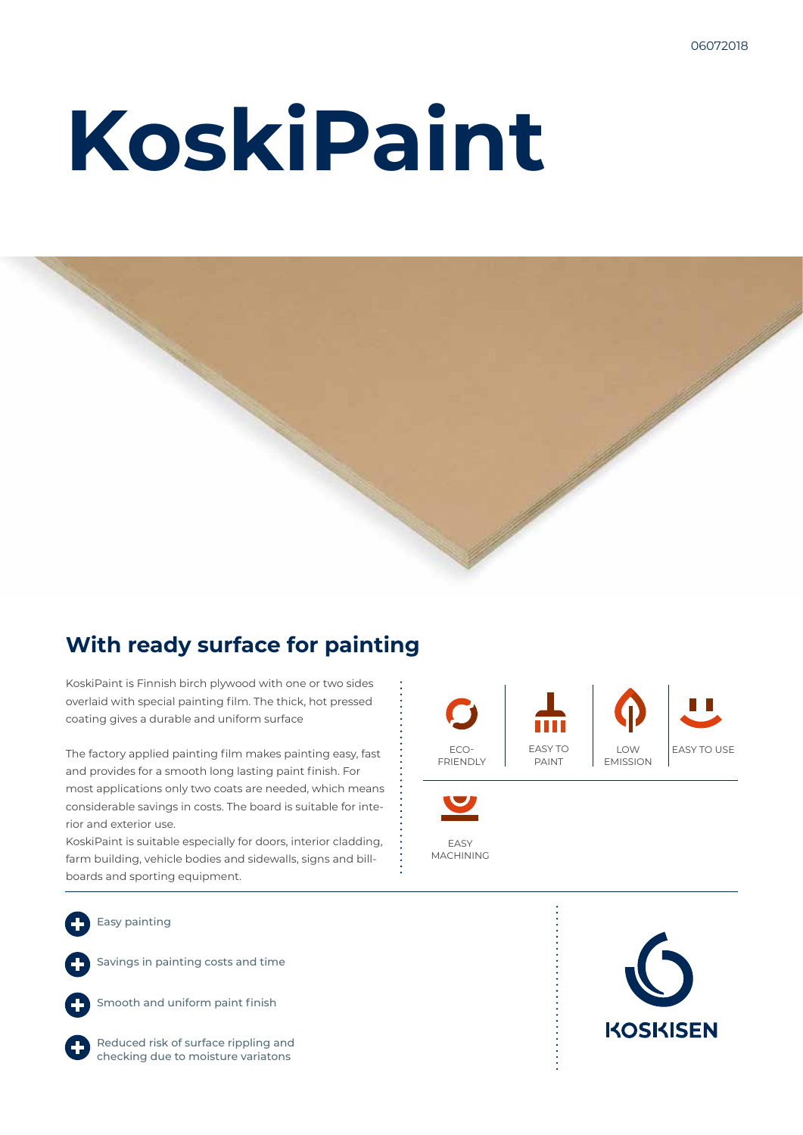# **KoskiPaint**



### **With ready surface for painting**

KoskiPaint is Finnish birch plywood with one or two sides overlaid with special painting film. The thick, hot pressed coating gives a durable and uniform surface

The factory applied painting film makes painting easy, fast and provides for a smooth long lasting paint finish. For most applications only two coats are needed, which means considerable savings in costs. The board is suitable for interior and exterior use.

KoskiPaint is suitable especially for doors, interior cladding, farm building, vehicle bodies and sidewalls, signs and billboards and sporting equipment.



EASY

MACHINING

Easy painting

Savings in painting costs and time



Smooth and uniform paint finish

Reduced risk of surface rippling and checking due to moisture variatons